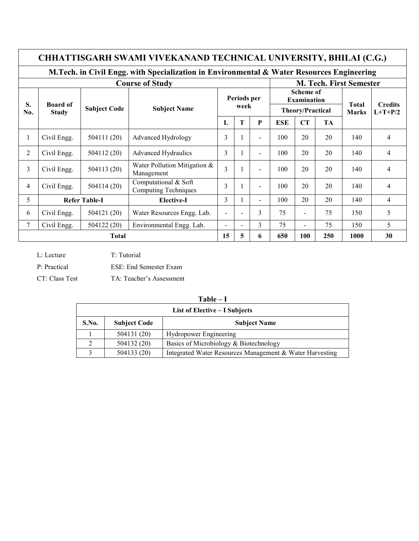|                | CHHATTISGARH SWAMI VIVEKANAND TECHNICAL UNIVERSITY, BHILAI (C.G.)                         |                     |                                                     |                                |             |                          |            |                                        |     |                                           |                             |  |
|----------------|-------------------------------------------------------------------------------------------|---------------------|-----------------------------------------------------|--------------------------------|-------------|--------------------------|------------|----------------------------------------|-----|-------------------------------------------|-----------------------------|--|
|                | M.Tech. in Civil Engg. with Specialization in Environmental & Water Resources Engineering |                     |                                                     |                                |             |                          |            |                                        |     |                                           |                             |  |
|                |                                                                                           |                     | <b>Course of Study</b>                              | <b>M. Tech. First Semester</b> |             |                          |            |                                        |     |                                           |                             |  |
| S.             | <b>Board of</b>                                                                           |                     |                                                     |                                | Periods per |                          |            | <b>Scheme of</b><br><b>Examination</b> |     |                                           |                             |  |
| No.            | <b>Study</b>                                                                              | <b>Subject Code</b> | <b>Subject Name</b>                                 |                                | week        |                          |            | Theory/Practical                       |     | <b>Total</b><br><b>Marks</b><br><b>TA</b> | <b>Credits</b><br>$L+T+P/2$ |  |
|                |                                                                                           |                     |                                                     | L                              | т           | P                        | <b>ESE</b> | CT                                     |     |                                           |                             |  |
| 1              | Civil Engg.                                                                               | 504111 (20)         | Advanced Hydrology                                  | 3                              |             | $\overline{\phantom{a}}$ | 100        | 20                                     | 20  | 140                                       | 4                           |  |
| $\overline{2}$ | Civil Engg.                                                                               | 504112 (20)         | <b>Advanced Hydraulics</b>                          | 3                              |             |                          | 100        | 20                                     | 20  | 140                                       | $\overline{4}$              |  |
| 3              | Civil Engg.                                                                               | 504113 (20)         | Water Pollution Mitigation $\&$<br>Management       | $\overline{3}$                 |             | $\sim$                   | 100        | 20                                     | 20  | 140                                       | 4                           |  |
| $\overline{4}$ | Civil Engg.                                                                               | 504114 (20)         | Computational & Soft<br><b>Computing Techniques</b> | 3                              |             | $\overline{\phantom{0}}$ | 100        | 20                                     | 20  | 140                                       | $\overline{4}$              |  |
| 5              | <b>Refer Table-I</b>                                                                      |                     | Elective-I                                          | $\mathcal{E}$                  |             | $\overline{a}$           | 100        | 20                                     | 20  | 140                                       | $\overline{\mathcal{L}}$    |  |
| 6              | Civil Engg.                                                                               | 504121 (20)         | Water Resources Engg. Lab.                          | $\blacksquare$                 |             | $\overline{3}$           | 75         |                                        | 75  | 150                                       | 5                           |  |
| 7              | Civil Engg.                                                                               | 504122 (20)         | Environmental Engg. Lab.                            | $\blacksquare$                 |             | 3                        | 75         | $\overline{\phantom{0}}$               | 75  | 150                                       | 5                           |  |
|                | <b>Total</b>                                                                              |                     |                                                     | 15                             | 5           | 6                        | 650        | 100                                    | 250 | 1000                                      | 30                          |  |

L: Lecture T: Tutorial P: Practical ESE: End Semester Exam CT: Class Test TA: Teacher's Assessment

| яnı<br>н |  |
|----------|--|
|          |  |

|       | List of Elective – I Subjects |                                                          |  |  |  |  |  |  |  |  |
|-------|-------------------------------|----------------------------------------------------------|--|--|--|--|--|--|--|--|
| S.No. | <b>Subject Code</b>           | <b>Subject Name</b>                                      |  |  |  |  |  |  |  |  |
|       | 504131 (20)                   | <b>Hydropower Engineering</b>                            |  |  |  |  |  |  |  |  |
| 2     | 504132 (20)                   | Basics of Microbiology & Biotechnology                   |  |  |  |  |  |  |  |  |
| 2     | 504133 (20)                   | Integrated Water Resources Management & Water Harvesting |  |  |  |  |  |  |  |  |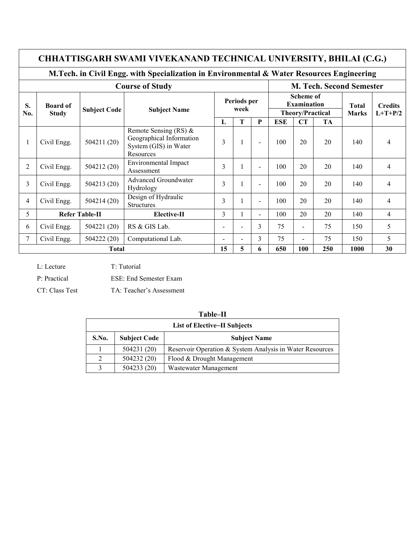|                | CHHATTISGARH SWAMI VIVEKANAND TECHNICAL UNIVERSITY, BHILAI (C.G.)                         |                     |                                                                                            |                          |                     |                |            |                                        |                                 |              |                |  |  |  |
|----------------|-------------------------------------------------------------------------------------------|---------------------|--------------------------------------------------------------------------------------------|--------------------------|---------------------|----------------|------------|----------------------------------------|---------------------------------|--------------|----------------|--|--|--|
|                | M.Tech. in Civil Engg. with Specialization in Environmental & Water Resources Engineering |                     |                                                                                            |                          |                     |                |            |                                        |                                 |              |                |  |  |  |
|                | <b>Course of Study</b>                                                                    |                     |                                                                                            |                          |                     |                |            |                                        | <b>M. Tech. Second Semester</b> |              |                |  |  |  |
| S.             | <b>Board of</b>                                                                           | <b>Subject Code</b> | <b>Subject Name</b>                                                                        |                          | Periods per<br>week |                |            | <b>Scheme of</b><br><b>Examination</b> |                                 |              | <b>Credits</b> |  |  |  |
| No.            | <b>Study</b>                                                                              |                     |                                                                                            |                          |                     |                |            | <b>Theory/Practical</b>                |                                 | <b>Marks</b> | $L+T+P/2$      |  |  |  |
|                |                                                                                           |                     |                                                                                            | L                        | T                   | $\mathbf{P}$   | <b>ESE</b> | CT                                     | <b>TA</b>                       |              |                |  |  |  |
|                | Civil Engg.                                                                               | 504211(20)          | Remote Sensing (RS) $\&$<br>Geographical Information<br>System (GIS) in Water<br>Resources | 3                        |                     | $\blacksquare$ | 100        | 20                                     | 20                              | 140          | 4              |  |  |  |
| $\overline{2}$ | Civil Engg.                                                                               | 504212 (20)         | <b>Environmental Impact</b><br>Assessment                                                  | 3                        |                     | $\blacksquare$ | 100        | 20                                     | 20                              | 140          | $\overline{4}$ |  |  |  |
| 3              | Civil Engg.                                                                               | 504213 (20)         | <b>Advanced Groundwater</b><br>Hydrology                                                   | 3                        |                     | $\blacksquare$ | 100        | 20                                     | 20                              | 140          | $\overline{4}$ |  |  |  |
| 4              | Civil Engg.                                                                               | 504214(20)          | Design of Hydraulic<br><b>Structures</b>                                                   | 3                        |                     | $\blacksquare$ | 100        | 20                                     | 20                              | 140          | $\overline{4}$ |  |  |  |
| 5              | <b>Refer Table-II</b>                                                                     |                     | Elective-II                                                                                | 3                        |                     | $\blacksquare$ | 100        | 20                                     | 20                              | 140          | $\overline{4}$ |  |  |  |
| 6              | Civil Engg.                                                                               | 504221 (20)         | RS & GIS Lab.                                                                              | $\overline{\phantom{0}}$ | $\blacksquare$      | 3              | 75         | $\blacksquare$                         | 75                              | 150          | 5              |  |  |  |
| 7              | Civil Engg.                                                                               | 504222 (20)         | Computational Lab.                                                                         | $\overline{\phantom{0}}$ | $\blacksquare$      | 3              | 75         |                                        | 75                              | 150          | 5              |  |  |  |
|                | <b>Total</b>                                                                              |                     |                                                                                            | 15                       | 5                   | 6              | 650        | 100                                    | 250                             | 1000         | 30             |  |  |  |

L: Lecture

T: Tutorial

P: Practical

ESE: End Semester Exam

CT: Class Test

TA: Teacher's Assessment

| <b>List of Elective–II Subjects</b> |                     |                                                          |  |  |  |  |  |  |  |
|-------------------------------------|---------------------|----------------------------------------------------------|--|--|--|--|--|--|--|
| S.No.                               | <b>Subject Code</b> | <b>Subject Name</b>                                      |  |  |  |  |  |  |  |
|                                     | 504231 (20)         | Reservoir Operation & System Analysis in Water Resources |  |  |  |  |  |  |  |
| 2                                   | 504232 (20)         | Flood & Drought Management                               |  |  |  |  |  |  |  |
| 3                                   | 504233 (20)         | Wastewater Management                                    |  |  |  |  |  |  |  |

## Table-II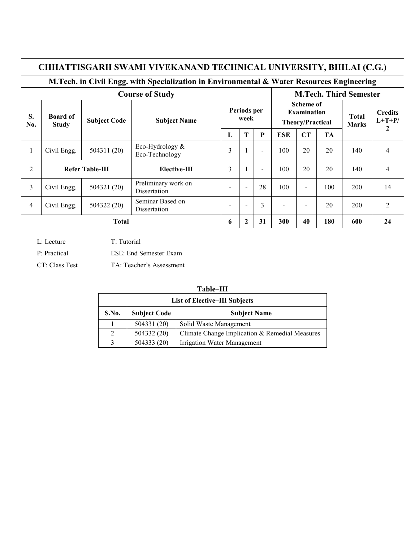## CHHATTISGARH SWAMI VIVEKANAND TECHNICAL UNIVERSITY, BHILAI (C.G.)

## M.Tech. in Civil Engg. with Specialization in Environmental & Water Resources Engineering

|                | <b>Course of Study</b>                                 |             |                                     |                          |                          |                                                            | <b>M.Tech. Third Semester</b> |                          |                              |                            |                |  |
|----------------|--------------------------------------------------------|-------------|-------------------------------------|--------------------------|--------------------------|------------------------------------------------------------|-------------------------------|--------------------------|------------------------------|----------------------------|----------------|--|
| S.<br>No.      | <b>Board of</b><br><b>Subject Code</b><br><b>Study</b> |             | <b>Subject Name</b>                 | Periods per<br>week      |                          | <b>Scheme of</b><br><b>Examination</b><br>Theory/Practical |                               |                          | <b>Total</b><br><b>Marks</b> | <b>Credits</b><br>$L+T+P/$ |                |  |
|                |                                                        |             |                                     | T<br>P<br>┺              | <b>ESE</b>               | CT                                                         | TA                            |                          | 2                            |                            |                |  |
| $\mathbf{I}$   | Civil Engg.                                            | 504311 (20) | Eco-Hydrology &<br>Eco-Technology   | 3                        |                          | $\overline{\phantom{a}}$                                   | 100                           | 20                       | 20                           | 140                        | 4              |  |
| $\overline{2}$ | <b>Refer Table-III</b>                                 |             | Elective-III                        | 3                        |                          | $\overline{\phantom{a}}$                                   | 100                           | 20                       | 20                           | 140                        | 4              |  |
| 3              | Civil Engg.                                            | 504321 (20) | Preliminary work on<br>Dissertation | $\overline{\phantom{0}}$ | $\overline{\phantom{a}}$ | 28                                                         | 100                           | $\overline{\phantom{a}}$ | 100                          | 200                        | 14             |  |
| 4              | Civil Engg.                                            | 504322 (20) | Seminar Based on<br>Dissertation    | $\overline{\phantom{0}}$ |                          | 3                                                          | $\blacksquare$                | $\overline{\phantom{0}}$ | 20                           | 200                        | $\overline{2}$ |  |
|                | <b>Total</b>                                           |             |                                     | 6                        | 2                        | 31                                                         | 300                           | 40                       | 180                          | 600                        | 24             |  |

L: Lecture

T: Tutorial

P: Practical

CT: Class Test

ESE: End Semester Exam

TA: Teacher's Assessment

| <b>List of Elective-III Subjects</b> |                     |                                                |  |  |  |  |  |  |  |
|--------------------------------------|---------------------|------------------------------------------------|--|--|--|--|--|--|--|
| S.No.                                | <b>Subject Code</b> | <b>Subject Name</b>                            |  |  |  |  |  |  |  |
|                                      | 504331 (20)         | Solid Waste Management                         |  |  |  |  |  |  |  |
| $\mathcal{L}$                        | 504332 (20)         | Climate Change Implication & Remedial Measures |  |  |  |  |  |  |  |
| 3                                    | 504333 (20)         | <b>Irrigation Water Management</b>             |  |  |  |  |  |  |  |

## Table-III